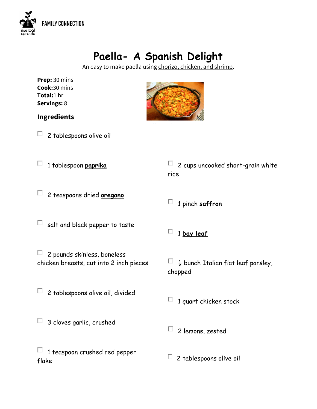

## **Paella- A Spanish Delight**

An easy to make paella using chorizo, chicken, and shrimp.

| Prep: 30 mins      |
|--------------------|
| Cook:30 mins       |
| <b>Total:</b> 1 hr |
| Servings: 8        |



 $\square$  2 tablespoons olive oil

1 tablespoon **paprika**



| $\Box$ 2 cups uncooked short-grain white |
|------------------------------------------|
| rice                                     |
|                                          |

- 2 teaspoons dried **oregano**
- $\square$  salt and black pepper to taste
- 2 pounds skinless, boneless п. chicken breasts, cut into 2 inch pieces
- $\square$  2 tablespoons olive oil, divided
- $\Box$  3 cloves garlic, crushed
- $\Box$  1 teaspoon crushed red pepper flake

1 **bay leaf**

1 pinch **saffron**

 $\Box$   $\frac{1}{2}$  bunch Italian flat leaf parsley, chopped

 $\Box$  1 quart chicken stock

- $\Box$  2 lemons, zested
- $\Box$  2 tablespoons olive oil